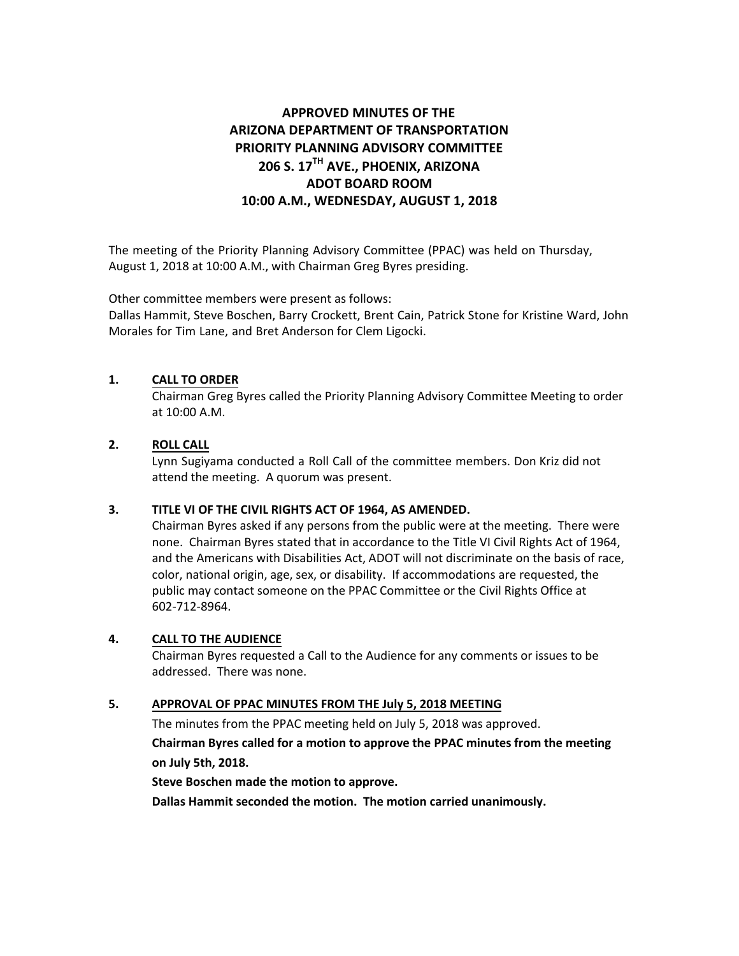# **APPROVED MINUTES OF THE ARIZONA DEPARTMENT OF TRANSPORTATION PRIORITY PLANNING ADVISORY COMMITTEE 206 S. 17TH AVE., PHOENIX, ARIZONA ADOT BOARD ROOM 10:00 A.M., WEDNESDAY, AUGUST 1, 2018**

The meeting of the Priority Planning Advisory Committee (PPAC) was held on Thursday, August 1, 2018 at 10:00 A.M., with Chairman Greg Byres presiding.

Other committee members were present as follows:

Dallas Hammit, Steve Boschen, Barry Crockett, Brent Cain, Patrick Stone for Kristine Ward, John Morales for Tim Lane, and Bret Anderson for Clem Ligocki.

## **1. CALL TO ORDER**

Chairman Greg Byres called the Priority Planning Advisory Committee Meeting to order at 10:00 A.M.

## **2. ROLL CALL**

Lynn Sugiyama conducted a Roll Call of the committee members. Don Kriz did not attend the meeting. A quorum was present.

### **3. TITLE VI OF THE CIVIL RIGHTS ACT OF 1964, AS AMENDED.**

Chairman Byres asked if any persons from the public were at the meeting. There were none. Chairman Byres stated that in accordance to the Title VI Civil Rights Act of 1964, and the Americans with Disabilities Act, ADOT will not discriminate on the basis of race, color, national origin, age, sex, or disability. If accommodations are requested, the public may contact someone on the PPAC Committee or the Civil Rights Office at 602-712-8964.

### **4. CALL TO THE AUDIENCE**

Chairman Byres requested a Call to the Audience for any comments or issues to be addressed. There was none.

### **5. APPROVAL OF PPAC MINUTES FROM THE July 5, 2018 MEETING**

The minutes from the PPAC meeting held on July 5, 2018 was approved.

# **Chairman Byres called for a motion to approve the PPAC minutes from the meeting on July 5th, 2018.**

### **Steve Boschen made the motion to approve.**

**Dallas Hammit seconded the motion. The motion carried unanimously.**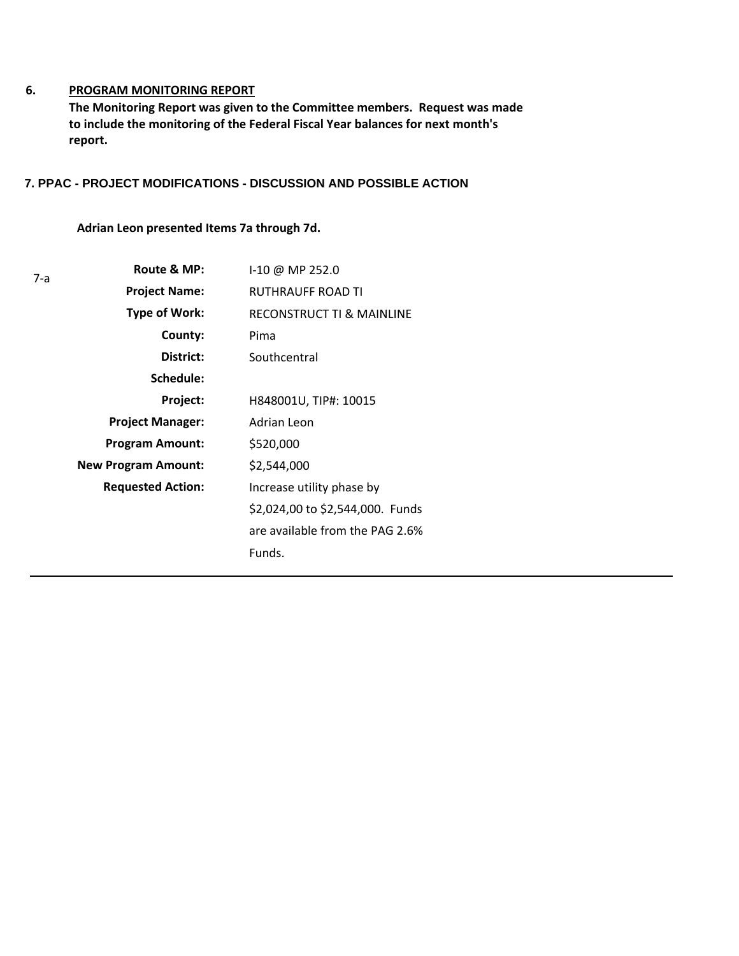#### **6. PROGRAM MONITORING REPORT**

**The Monitoring Report was given to the Committee members. Request was made to include the monitoring of the Federal Fiscal Year balances for next month's report.**

## **7. PPAC - PROJECT MODIFICATIONS - DISCUSSION AND POSSIBLE ACTION**

**Adrian Leon presented Items 7a through 7d.** 

| 7-а | Route & MP:                | I-10 @ MP 252.0                      |
|-----|----------------------------|--------------------------------------|
|     | <b>Project Name:</b>       | RUTHRAUFF ROAD TI                    |
|     | Type of Work:              | <b>RECONSTRUCT TI &amp; MAINLINE</b> |
|     | County:                    | Pima                                 |
|     | District:                  | Southcentral                         |
|     | Schedule:                  |                                      |
|     | Project:                   | H848001U, TIP#: 10015                |
|     | <b>Project Manager:</b>    | Adrian Leon                          |
|     | <b>Program Amount:</b>     | \$520,000                            |
|     | <b>New Program Amount:</b> | \$2,544,000                          |
|     | <b>Requested Action:</b>   | Increase utility phase by            |
|     |                            | \$2,024,00 to \$2,544,000. Funds     |
|     |                            | are available from the PAG 2.6%      |
|     |                            | Funds.                               |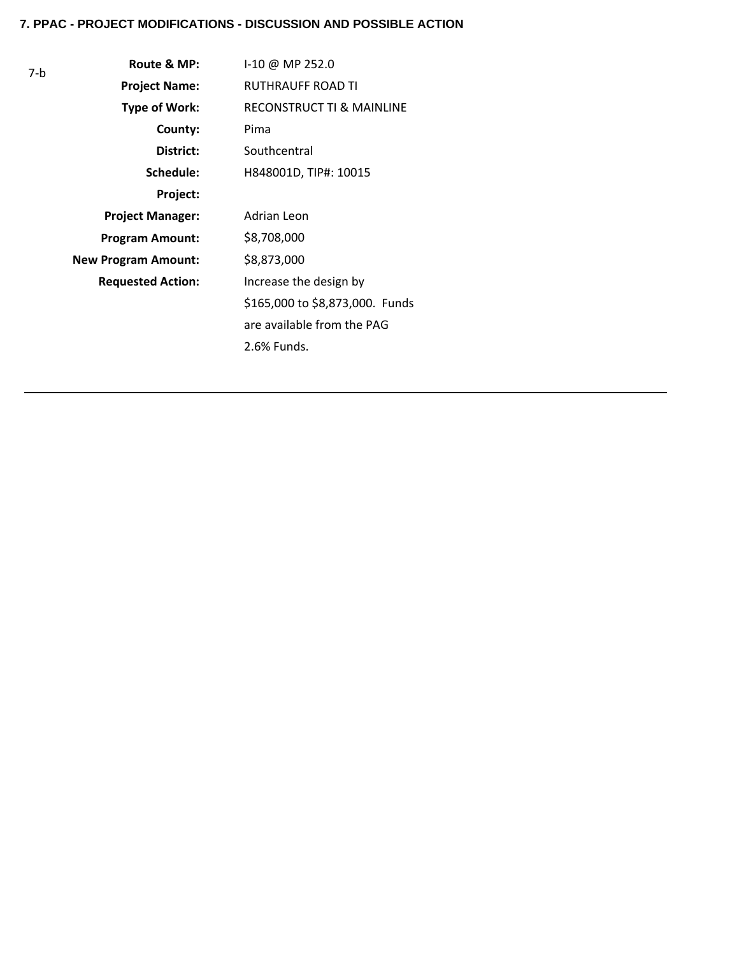7-b

| Route & MP:                | I-10 @ MP 252.0                      |
|----------------------------|--------------------------------------|
| <b>Project Name:</b>       | <b>RUTHRAUFF ROAD TI</b>             |
| <b>Type of Work:</b>       | <b>RECONSTRUCT TI &amp; MAINLINE</b> |
| County:                    | Pima                                 |
| District:                  | Southcentral                         |
| Schedule:                  | H848001D, TIP#: 10015                |
| Project:                   |                                      |
| <b>Project Manager:</b>    | Adrian Leon                          |
| <b>Program Amount:</b>     | \$8,708,000                          |
| <b>New Program Amount:</b> | \$8,873,000                          |
| <b>Requested Action:</b>   | Increase the design by               |
|                            | \$165,000 to \$8,873,000. Funds      |
|                            | are available from the PAG           |
|                            | 2.6% Funds.                          |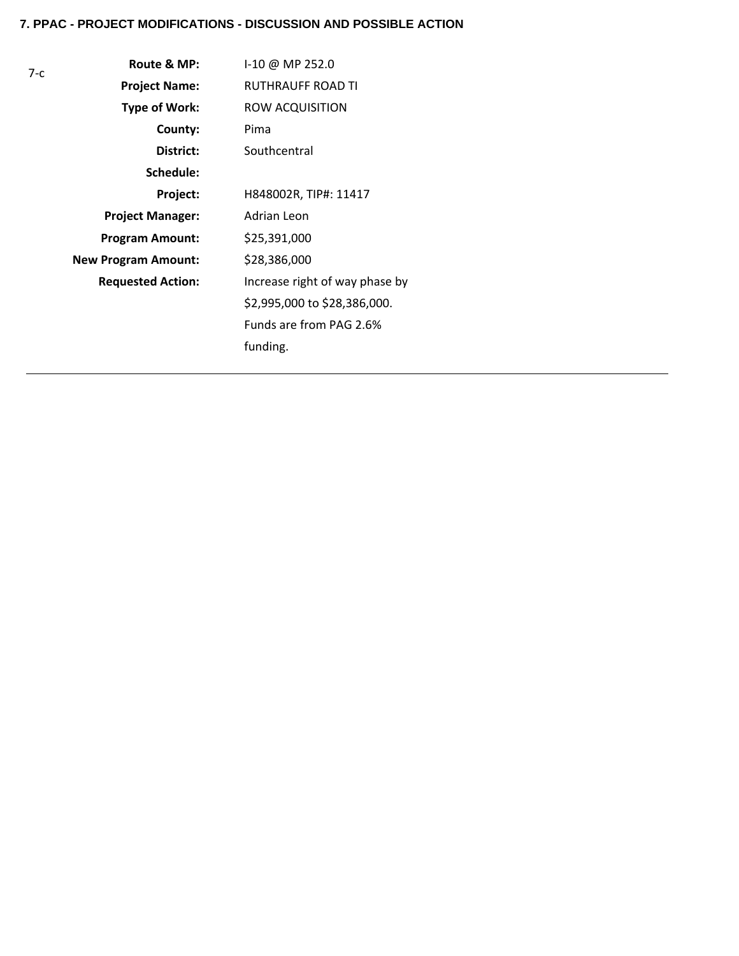| $7-c$ | Route & MP:                | I-10 @ MP 252.0                |
|-------|----------------------------|--------------------------------|
|       | <b>Project Name:</b>       | <b>RUTHRAUFF ROAD TI</b>       |
|       | <b>Type of Work:</b>       | ROW ACQUISITION                |
|       | County:                    | Pima                           |
|       | District:                  | Southcentral                   |
|       | Schedule:                  |                                |
|       | Project:                   | H848002R, TIP#: 11417          |
|       | <b>Project Manager:</b>    | Adrian Leon                    |
|       | <b>Program Amount:</b>     | \$25,391,000                   |
|       | <b>New Program Amount:</b> | \$28,386,000                   |
|       | <b>Requested Action:</b>   | Increase right of way phase by |
|       |                            | \$2,995,000 to \$28,386,000.   |
|       |                            | Funds are from PAG 2.6%        |
|       |                            | funding.                       |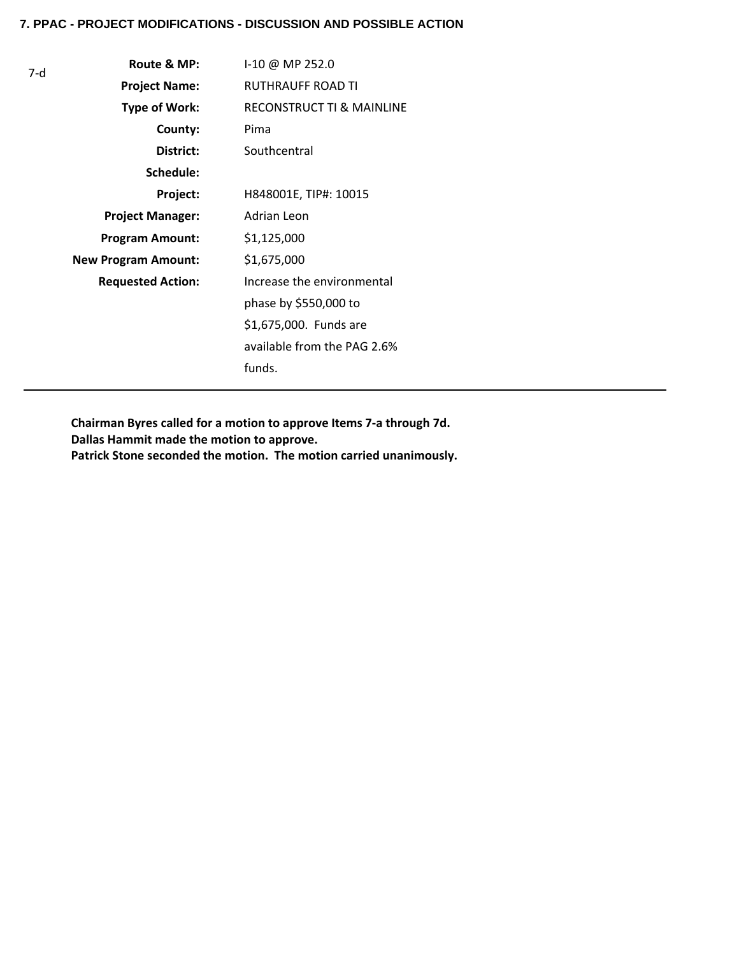| 7-d | Route & MP:                | I-10 @ MP 252.0                      |
|-----|----------------------------|--------------------------------------|
|     | <b>Project Name:</b>       | RUTHRAUFF ROAD TI                    |
|     | Type of Work:              | <b>RECONSTRUCT TI &amp; MAINLINE</b> |
|     | County:                    | Pima                                 |
|     | District:                  | Southcentral                         |
|     | Schedule:                  |                                      |
|     | Project:                   | H848001E, TIP#: 10015                |
|     | <b>Project Manager:</b>    | Adrian Leon                          |
|     | <b>Program Amount:</b>     | \$1,125,000                          |
|     | <b>New Program Amount:</b> | \$1,675,000                          |
|     | <b>Requested Action:</b>   | Increase the environmental           |
|     |                            | phase by \$550,000 to                |
|     |                            | \$1,675,000. Funds are               |
|     |                            | available from the PAG 2.6%          |
|     |                            | funds.                               |

**Chairman Byres called for a motion to approve Items 7-a through 7d. Dallas Hammit made the motion to approve. Patrick Stone seconded the motion. The motion carried unanimously.**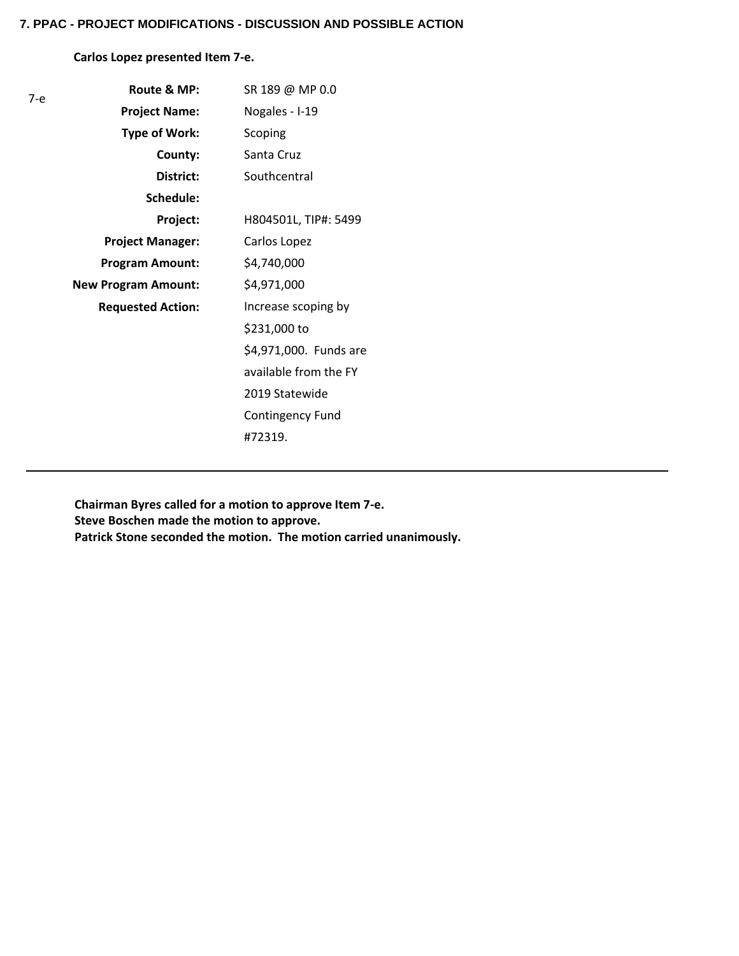# **Carlos Lopez presented Item 7-e.**

| 7-е | Route & MP:                | SR 189 @ MP 0.0        |
|-----|----------------------------|------------------------|
|     | <b>Project Name:</b>       | Nogales - I-19         |
|     | <b>Type of Work:</b>       | Scoping                |
|     | County:                    | Santa Cruz             |
|     | District:                  | Southcentral           |
|     | Schedule:                  |                        |
|     | Project:                   | H804501L, TIP#: 5499   |
|     | <b>Project Manager:</b>    | Carlos Lopez           |
|     | <b>Program Amount:</b>     | \$4,740,000            |
|     | <b>New Program Amount:</b> | \$4,971,000            |
|     | <b>Requested Action:</b>   | Increase scoping by    |
|     |                            | \$231,000 to           |
|     |                            | \$4,971,000. Funds are |
|     |                            | available from the FY  |
|     |                            | 2019 Statewide         |
|     |                            | Contingency Fund       |
|     |                            | #72319.                |

**Chairman Byres called for a motion to approve Item 7-e. Steve Boschen made the motion to approve. Patrick Stone seconded the motion. The motion carried unanimously.**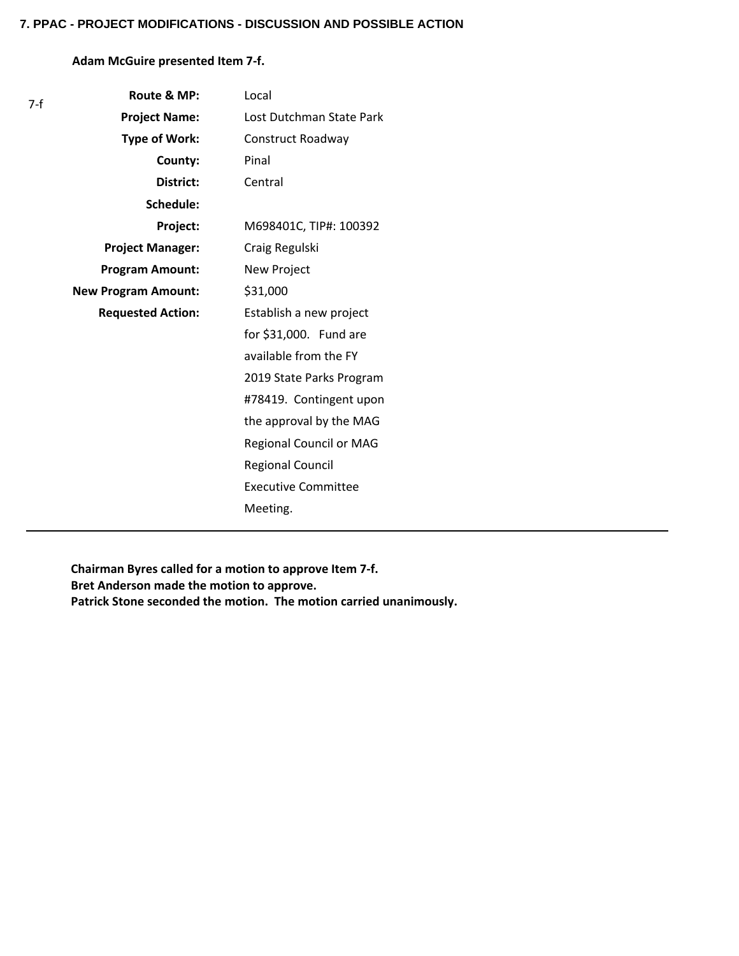# **Adam McGuire presented Item 7-f.**

| 7-f | Route & MP:                | Local                      |
|-----|----------------------------|----------------------------|
|     | <b>Project Name:</b>       | Lost Dutchman State Park   |
|     | <b>Type of Work:</b>       | Construct Roadway          |
|     | County:                    | Pinal                      |
|     | District:                  | Central                    |
|     | Schedule:                  |                            |
|     | Project:                   | M698401C, TIP#: 100392     |
|     | <b>Project Manager:</b>    | Craig Regulski             |
|     | <b>Program Amount:</b>     | New Project                |
|     | <b>New Program Amount:</b> | \$31,000                   |
|     | <b>Requested Action:</b>   | Establish a new project    |
|     |                            | for \$31,000. Fund are     |
|     |                            | available from the FY      |
|     |                            | 2019 State Parks Program   |
|     |                            | #78419. Contingent upon    |
|     |                            | the approval by the MAG    |
|     |                            | Regional Council or MAG    |
|     |                            | <b>Regional Council</b>    |
|     |                            | <b>Executive Committee</b> |
|     |                            | Meeting.                   |

**Chairman Byres called for a motion to approve Item 7-f. Bret Anderson made the motion to approve. Patrick Stone seconded the motion. The motion carried unanimously.**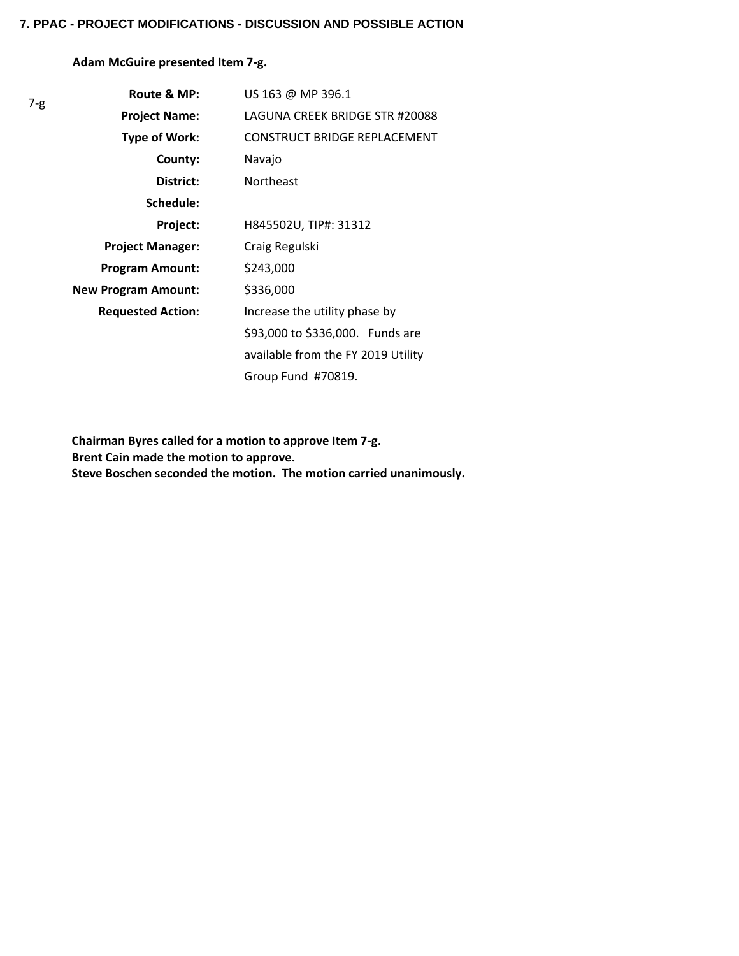**Adam McGuire presented Item 7-g.**

| $7 - g$ | Route & MP:                | US 163 @ MP 396.1                   |
|---------|----------------------------|-------------------------------------|
|         | <b>Project Name:</b>       | LAGUNA CREEK BRIDGE STR #20088      |
|         | Type of Work:              | <b>CONSTRUCT BRIDGE REPLACEMENT</b> |
|         | County:                    | Navajo                              |
|         | District:                  | <b>Northeast</b>                    |
|         | Schedule:                  |                                     |
|         | Project:                   | H845502U, TIP#: 31312               |
|         | <b>Project Manager:</b>    | Craig Regulski                      |
|         | <b>Program Amount:</b>     | \$243,000                           |
|         | <b>New Program Amount:</b> | \$336,000                           |
|         | <b>Requested Action:</b>   | Increase the utility phase by       |
|         |                            | \$93,000 to \$336,000. Funds are    |
|         |                            | available from the FY 2019 Utility  |
|         |                            | Group Fund #70819.                  |

**Chairman Byres called for a motion to approve Item 7-g. Brent Cain made the motion to approve. Steve Boschen seconded the motion. The motion carried unanimously.**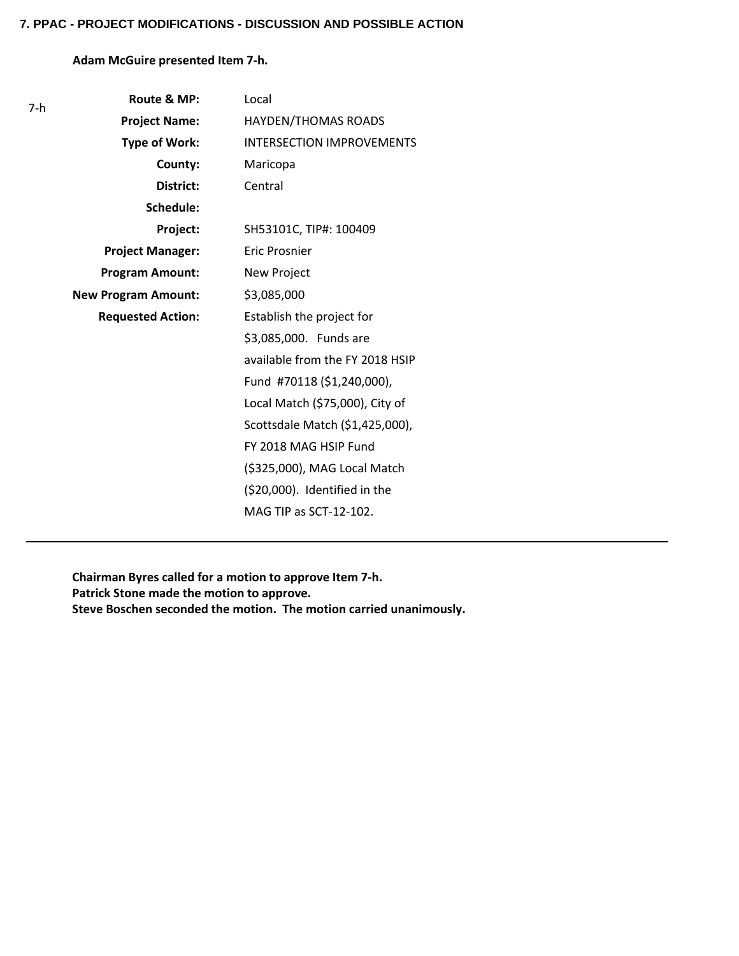# **Adam McGuire presented Item 7-h.**

| 7-h | Route & MP:                | Local                            |
|-----|----------------------------|----------------------------------|
|     | <b>Project Name:</b>       | HAYDEN/THOMAS ROADS              |
|     | <b>Type of Work:</b>       | <b>INTERSECTION IMPROVEMENTS</b> |
|     | County:                    | Maricopa                         |
|     | District:                  | Central                          |
|     | Schedule:                  |                                  |
|     | Project:                   | SH53101C, TIP#: 100409           |
|     | <b>Project Manager:</b>    | Eric Prosnier                    |
|     | <b>Program Amount:</b>     | New Project                      |
|     | <b>New Program Amount:</b> | \$3,085,000                      |
|     | <b>Requested Action:</b>   | Establish the project for        |
|     |                            | \$3,085,000. Funds are           |
|     |                            | available from the FY 2018 HSIP  |
|     |                            | Fund #70118 (\$1,240,000),       |
|     |                            | Local Match (\$75,000), City of  |
|     |                            | Scottsdale Match (\$1,425,000),  |
|     |                            | FY 2018 MAG HSIP Fund            |
|     |                            | (\$325,000), MAG Local Match     |
|     |                            | (\$20,000). Identified in the    |
|     |                            | MAG TIP as SCT-12-102.           |

**Chairman Byres called for a motion to approve Item 7-h. Patrick Stone made the motion to approve. Steve Boschen seconded the motion. The motion carried unanimously.**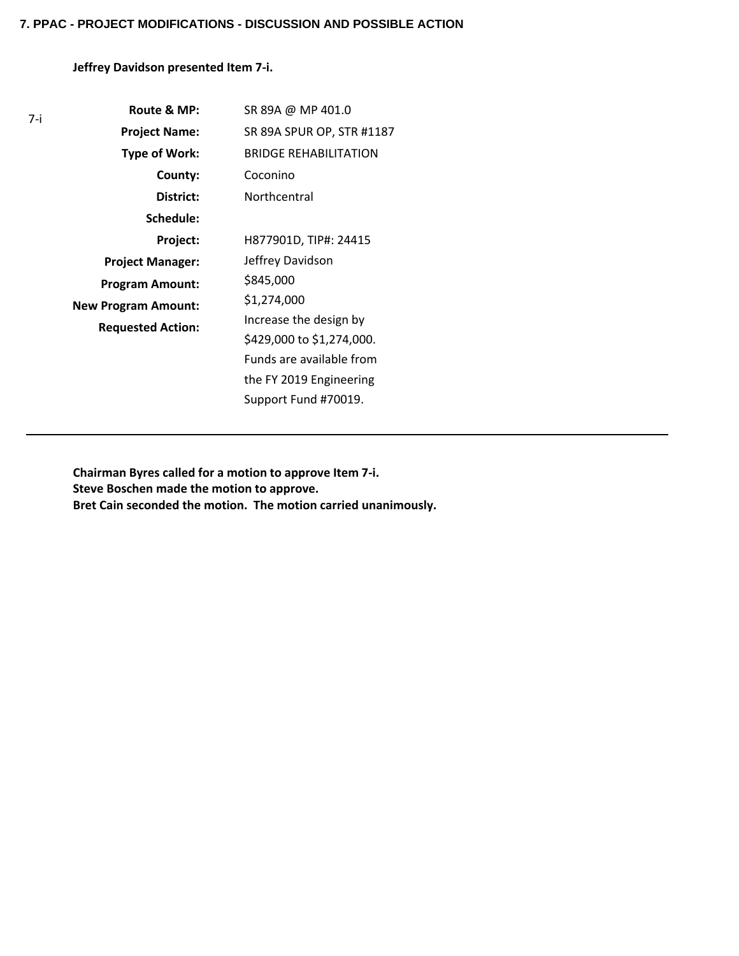**Jeffrey Davidson presented Item 7-i.**

| 7-i | Route & MP:                                            | SR 89A @ MP 401.0            |
|-----|--------------------------------------------------------|------------------------------|
|     | <b>Project Name:</b>                                   | SR 89A SPUR OP, STR #1187    |
|     | Type of Work:                                          | <b>BRIDGE REHABILITATION</b> |
|     | County:                                                | Coconino                     |
|     | District:                                              | Northcentral                 |
|     | Schedule:                                              |                              |
|     | Project:                                               | H877901D, TIP#: 24415        |
|     | <b>Project Manager:</b>                                | Jeffrey Davidson             |
|     | <b>Program Amount:</b>                                 | \$845,000                    |
|     | <b>New Program Amount:</b><br><b>Requested Action:</b> | \$1,274,000                  |
|     |                                                        | Increase the design by       |
|     |                                                        | \$429,000 to \$1,274,000.    |
|     |                                                        | Funds are available from     |
|     |                                                        | the FY 2019 Engineering      |
|     |                                                        | Support Fund #70019.         |

**Chairman Byres called for a motion to approve Item 7-i. Steve Boschen made the motion to approve. Bret Cain seconded the motion. The motion carried unanimously.**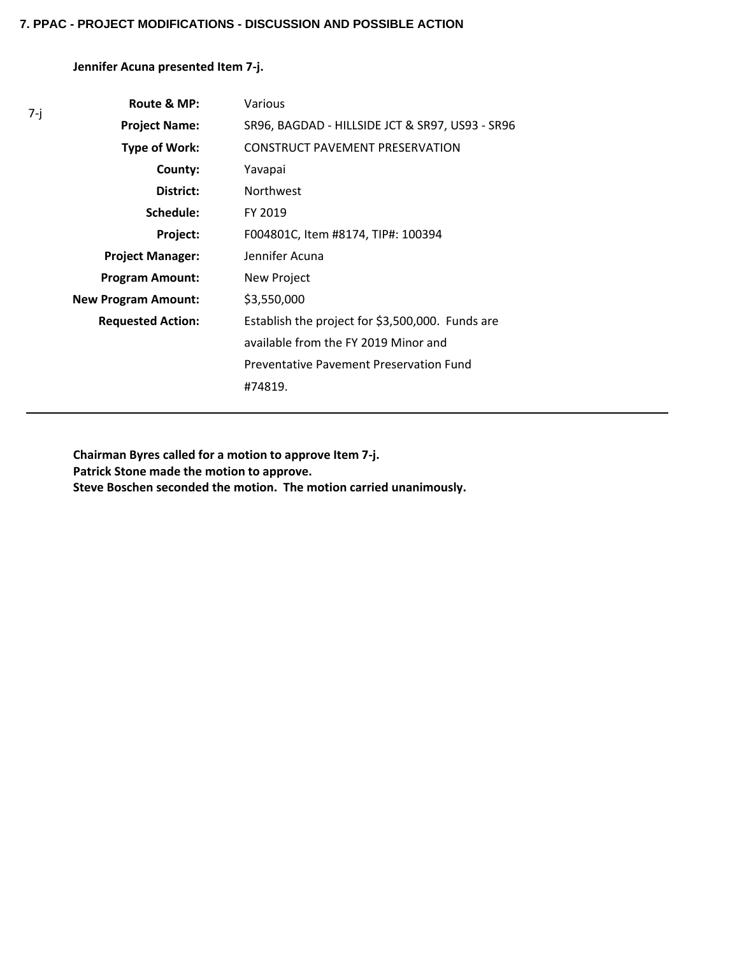**Jennifer Acuna presented Item 7-j.**

7-j

| Route & MP:                | Various                                          |
|----------------------------|--------------------------------------------------|
| <b>Project Name:</b>       | SR96, BAGDAD - HILLSIDE JCT & SR97, US93 - SR96  |
| <b>Type of Work:</b>       | CONSTRUCT PAVEMENT PRESERVATION                  |
| County:                    | Yavapai                                          |
| District:                  | <b>Northwest</b>                                 |
| Schedule:                  | FY 2019                                          |
| Project:                   | F004801C, Item #8174, TIP#: 100394               |
| <b>Project Manager:</b>    | Jennifer Acuna                                   |
| <b>Program Amount:</b>     | New Project                                      |
| <b>New Program Amount:</b> | \$3,550,000                                      |
| <b>Requested Action:</b>   | Establish the project for \$3,500,000. Funds are |
|                            | available from the FY 2019 Minor and             |
|                            | Preventative Pavement Preservation Fund          |
|                            | #74819.                                          |

**Chairman Byres called for a motion to approve Item 7-j. Patrick Stone made the motion to approve. Steve Boschen seconded the motion. The motion carried unanimously.**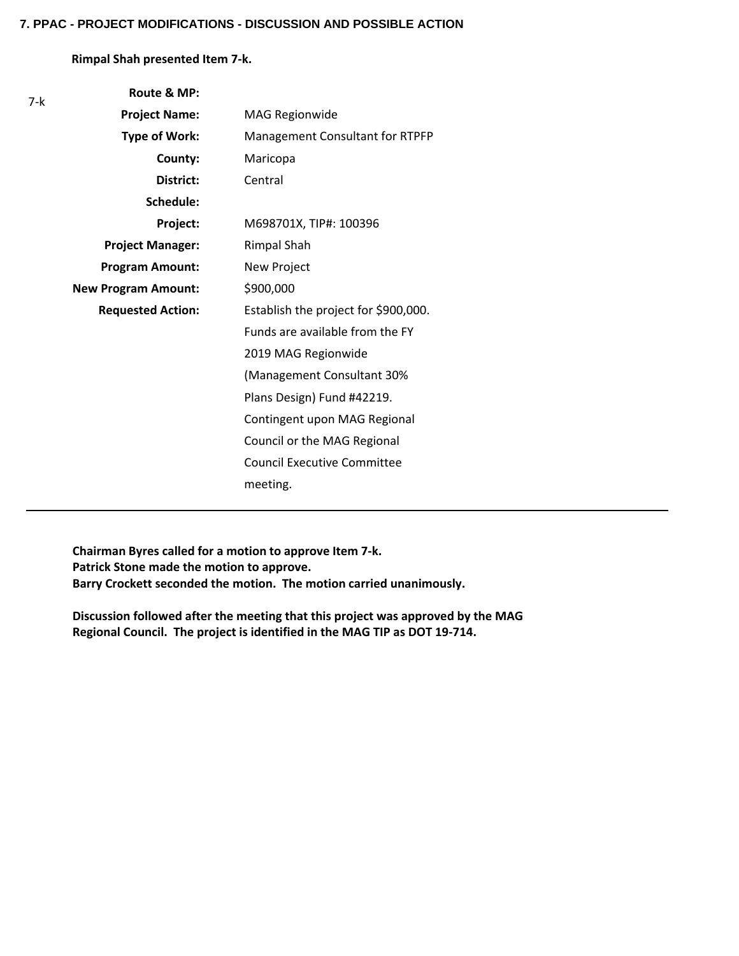**Rimpal Shah presented Item 7-k.**

| 7-k | Route & MP:                |                                      |
|-----|----------------------------|--------------------------------------|
|     | <b>Project Name:</b>       | <b>MAG Regionwide</b>                |
|     | <b>Type of Work:</b>       | Management Consultant for RTPFP      |
|     | County:                    | Maricopa                             |
|     | District:                  | Central                              |
|     | Schedule:                  |                                      |
|     | Project:                   | M698701X, TIP#: 100396               |
|     | <b>Project Manager:</b>    | <b>Rimpal Shah</b>                   |
|     | <b>Program Amount:</b>     | New Project                          |
|     | <b>New Program Amount:</b> | \$900,000                            |
|     | <b>Requested Action:</b>   | Establish the project for \$900,000. |
|     |                            | Funds are available from the FY      |
|     |                            | 2019 MAG Regionwide                  |
|     |                            | (Management Consultant 30%           |
|     |                            | Plans Design) Fund #42219.           |
|     |                            | Contingent upon MAG Regional         |
|     |                            | Council or the MAG Regional          |
|     |                            | <b>Council Executive Committee</b>   |
|     |                            | meeting.                             |
|     |                            |                                      |

**Chairman Byres called for a motion to approve Item 7-k. Patrick Stone made the motion to approve. Barry Crockett seconded the motion. The motion carried unanimously.**

**Discussion followed after the meeting that this project was approved by the MAG Regional Council. The project is identified in the MAG TIP as DOT 19-714.**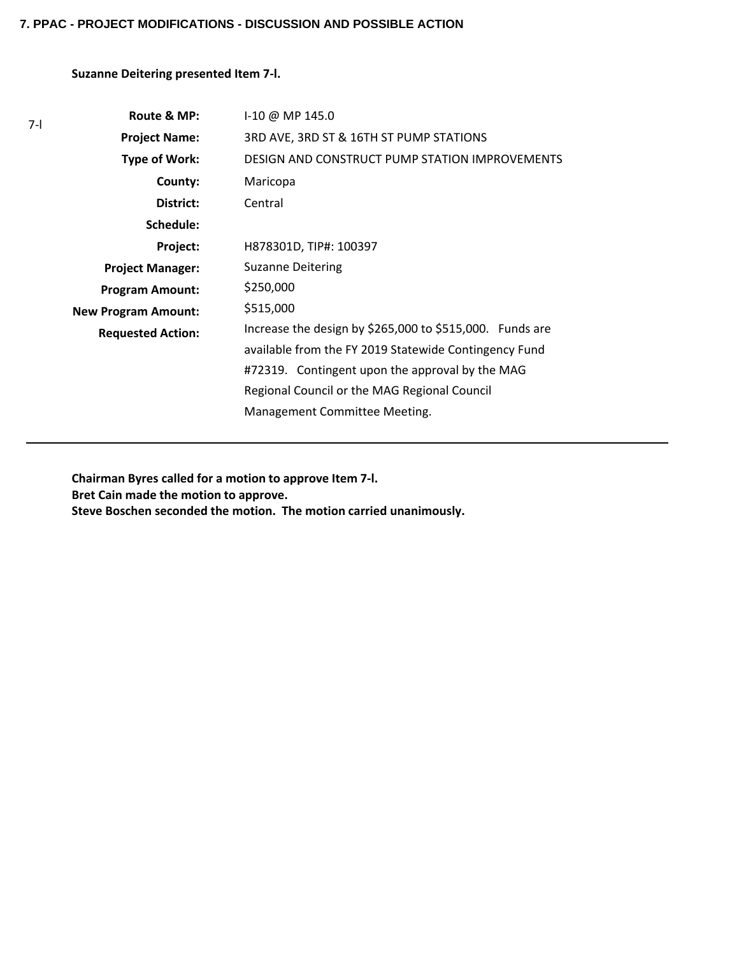## **Suzanne Deitering presented Item 7-l.**

| $7-1$ | Route & MP:                | $1-10 \omega$ MP 145.0                                                                                                                                                                                                                                |
|-------|----------------------------|-------------------------------------------------------------------------------------------------------------------------------------------------------------------------------------------------------------------------------------------------------|
|       | <b>Project Name:</b>       | 3RD AVE, 3RD ST & 16TH ST PUMP STATIONS                                                                                                                                                                                                               |
|       | Type of Work:              | DESIGN AND CONSTRUCT PUMP STATION IMPROVEMENTS                                                                                                                                                                                                        |
|       | County:                    | Maricopa                                                                                                                                                                                                                                              |
|       | District:                  | Central                                                                                                                                                                                                                                               |
|       | Schedule:                  |                                                                                                                                                                                                                                                       |
|       | Project:                   | H878301D, TIP#: 100397                                                                                                                                                                                                                                |
|       | <b>Project Manager:</b>    | <b>Suzanne Deitering</b>                                                                                                                                                                                                                              |
|       | <b>Program Amount:</b>     | \$250,000                                                                                                                                                                                                                                             |
|       | <b>New Program Amount:</b> | \$515,000                                                                                                                                                                                                                                             |
|       | <b>Requested Action:</b>   | Increase the design by \$265,000 to \$515,000. Funds are<br>available from the FY 2019 Statewide Contingency Fund<br>#72319. Contingent upon the approval by the MAG<br>Regional Council or the MAG Regional Council<br>Management Committee Meeting. |
|       |                            |                                                                                                                                                                                                                                                       |

**Chairman Byres called for a motion to approve Item 7-l. Bret Cain made the motion to approve. Steve Boschen seconded the motion. The motion carried unanimously.**